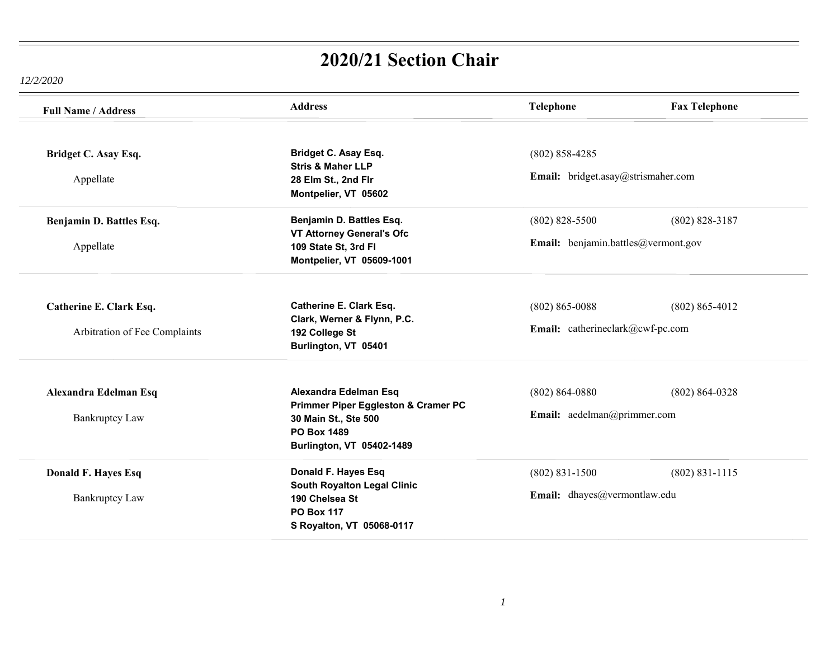| <b>Full Name / Address</b>    | <b>Address</b>                                                                                                 | Telephone                           | <b>Fax Telephone</b> |
|-------------------------------|----------------------------------------------------------------------------------------------------------------|-------------------------------------|----------------------|
| Bridget C. Asay Esq.          | <b>Bridget C. Asay Esq.</b><br><b>Stris &amp; Maher LLP</b>                                                    | $(802) 858 - 4285$                  |                      |
| Appellate                     | 28 Elm St., 2nd Flr<br>Montpelier, VT 05602                                                                    | Email: bridget.asay@strismaher.com  |                      |
| Benjamin D. Battles Esq.      | Benjamin D. Battles Esq.                                                                                       | $(802)$ 828-5500                    | $(802) 828 - 3187$   |
| Appellate                     | <b>VT Attorney General's Ofc</b><br>109 State St, 3rd FI<br>Montpelier, VT 05609-1001                          | Email: benjamin.battles@vermont.gov |                      |
| Catherine E. Clark Esq.       | <b>Catherine E. Clark Esq.</b><br>Clark, Werner & Flynn, P.C.                                                  | $(802) 865 - 0088$                  | $(802) 865 - 4012$   |
| Arbitration of Fee Complaints | 192 College St<br>Burlington, VT 05401                                                                         | Email: catherineclark@cwf-pc.com    |                      |
| Alexandra Edelman Esq         | Alexandra Edelman Esq                                                                                          | $(802) 864 - 0880$                  | $(802) 864 - 0328$   |
| <b>Bankruptcy Law</b>         | Primmer Piper Eggleston & Cramer PC<br>30 Main St., Ste 500<br><b>PO Box 1489</b><br>Burlington, VT 05402-1489 | Email: aedelman@primmer.com         |                      |
| Donald F. Hayes Esq           | Donald F. Hayes Esq                                                                                            | $(802)$ 831-1500                    | $(802) 831 - 1115$   |
| <b>Bankruptcy Law</b>         | <b>South Royalton Legal Clinic</b><br>190 Chelsea St<br><b>PO Box 117</b><br>S Royalton, VT 05068-0117         | Email: dhayes@vermontlaw.edu        |                      |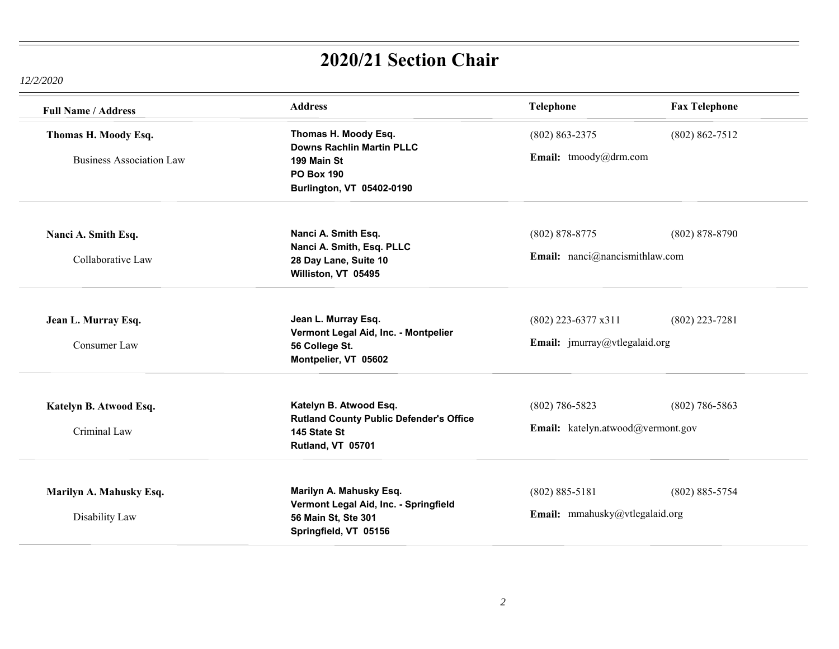| <b>Full Name / Address</b>                              | <b>Address</b>                                                                                                            | <b>Telephone</b>                                       | <b>Fax Telephone</b> |
|---------------------------------------------------------|---------------------------------------------------------------------------------------------------------------------------|--------------------------------------------------------|----------------------|
| Thomas H. Moody Esq.<br><b>Business Association Law</b> | Thomas H. Moody Esq.<br><b>Downs Rachlin Martin PLLC</b><br>199 Main St<br><b>PO Box 190</b><br>Burlington, VT 05402-0190 | $(802) 863 - 2375$<br>Email: tmoody@drm.com            | $(802) 862 - 7512$   |
| Nanci A. Smith Esq.<br>Collaborative Law                | Nanci A. Smith Esq.<br>Nanci A. Smith, Esq. PLLC<br>28 Day Lane, Suite 10<br>Williston, VT 05495                          | $(802)$ 878-8775<br>Email: nanci@nancismithlaw.com     | $(802) 878 - 8790$   |
| Jean L. Murray Esq.<br>Consumer Law                     | Jean L. Murray Esq.<br>Vermont Legal Aid, Inc. - Montpelier<br>56 College St.<br>Montpelier, VT 05602                     | $(802)$ 223-6377 x311<br>Email: jmurray@vtlegalaid.org | $(802)$ 223-7281     |
| Katelyn B. Atwood Esq.<br>Criminal Law                  | Katelyn B. Atwood Esq.<br><b>Rutland County Public Defender's Office</b><br>145 State St<br>Rutland, VT 05701             | $(802)$ 786-5823<br>Email: katelyn.atwood@vermont.gov  | $(802)$ 786-5863     |
| Marilyn A. Mahusky Esq.<br>Disability Law               | Marilyn A. Mahusky Esq.<br>Vermont Legal Aid, Inc. - Springfield<br>56 Main St, Ste 301<br>Springfield, VT 05156          | $(802) 885 - 5181$<br>Email: mmahusky@vtlegalaid.org   | $(802) 885 - 5754$   |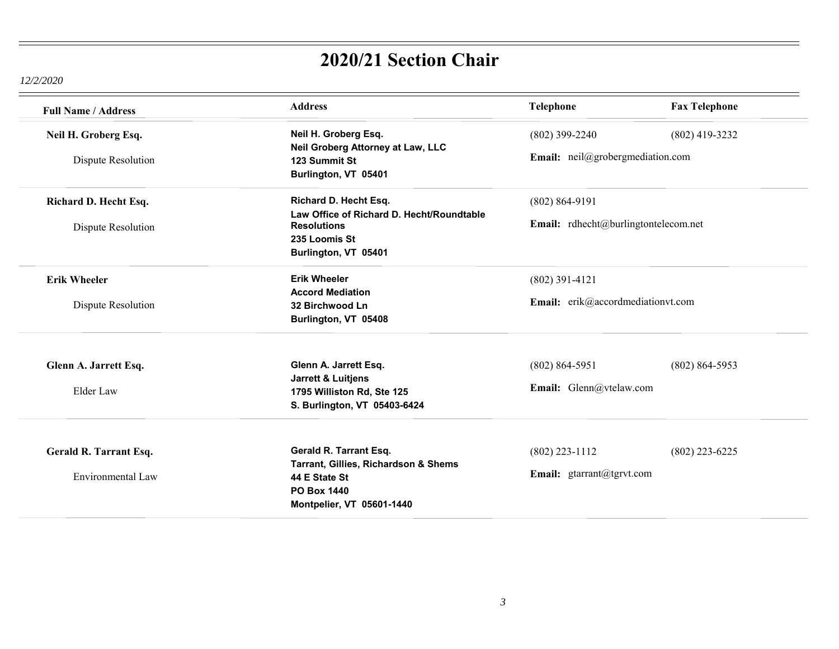| <b>Full Name / Address</b>                  | <b>Address</b>                                                                                                                     | Telephone                                     | <b>Fax Telephone</b>                 |  |
|---------------------------------------------|------------------------------------------------------------------------------------------------------------------------------------|-----------------------------------------------|--------------------------------------|--|
| Neil H. Groberg Esq.                        | Neil H. Groberg Esq.                                                                                                               | $(802)$ 399-2240                              | $(802)$ 419-3232                     |  |
| Dispute Resolution                          | Neil Groberg Attorney at Law, LLC<br>123 Summit St<br>Burlington, VT 05401                                                         |                                               | Email: neil@grobergmediation.com     |  |
| Richard D. Hecht Esq.<br>Dispute Resolution | Richard D. Hecht Esq.<br>Law Office of Richard D. Hecht/Roundtable<br><b>Resolutions</b><br>235 Loomis St<br>Burlington, VT 05401  | $(802) 864 - 9191$                            | Email: rdhecht@burlingtontelecom.net |  |
| <b>Erik Wheeler</b><br>Dispute Resolution   | <b>Erik Wheeler</b><br><b>Accord Mediation</b><br>32 Birchwood Ln<br>Burlington, VT 05408                                          | $(802)$ 391-4121                              | Email: erik@accordmediationvt.com    |  |
| Glenn A. Jarrett Esq.<br>Elder Law          | Glenn A. Jarrett Esq.<br><b>Jarrett &amp; Luitjens</b><br>1795 Williston Rd, Ste 125<br>S. Burlington, VT 05403-6424               | $(802) 864 - 5951$<br>Email: Glenn@vtelaw.com | $(802) 864 - 5953$                   |  |
| Gerald R. Tarrant Esq.<br>Environmental Law | Gerald R. Tarrant Esq.<br>Tarrant, Gillies, Richardson & Shems<br>44 E State St<br><b>PO Box 1440</b><br>Montpelier, VT 05601-1440 | $(802)$ 223-1112<br>Email: gtarrant@tgrvt.com | $(802)$ 223-6225                     |  |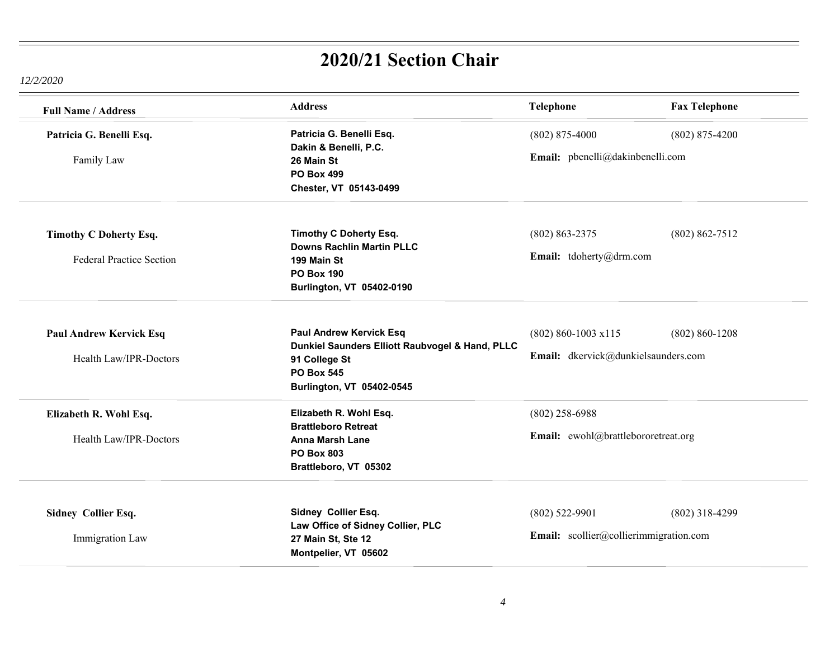| <b>Full Name / Address</b>                                       | <b>Address</b>                                                                                                                                       | Telephone                                                      | <b>Fax Telephone</b> |
|------------------------------------------------------------------|------------------------------------------------------------------------------------------------------------------------------------------------------|----------------------------------------------------------------|----------------------|
| Patricia G. Benelli Esq.<br>Family Law                           | Patricia G. Benelli Esq.<br>Dakin & Benelli, P.C.<br>26 Main St<br><b>PO Box 499</b><br>Chester, VT 05143-0499                                       | $(802)$ 875-4000<br>Email: pbenelli@dakinbenelli.com           | $(802)$ 875-4200     |
| <b>Timothy C Doherty Esq.</b><br><b>Federal Practice Section</b> | <b>Timothy C Doherty Esq.</b><br><b>Downs Rachlin Martin PLLC</b><br>199 Main St<br><b>PO Box 190</b><br>Burlington, VT 05402-0190                   | $(802) 863 - 2375$<br>Email: tdoherty@drm.com                  | $(802) 862 - 7512$   |
| <b>Paul Andrew Kervick Esq</b><br>Health Law/IPR-Doctors         | <b>Paul Andrew Kervick Esq</b><br>Dunkiel Saunders Elliott Raubvogel & Hand, PLLC<br>91 College St<br><b>PO Box 545</b><br>Burlington, VT 05402-0545 | $(802) 860 - 1003 x115$<br>Email: dkervick@dunkielsaunders.com | $(802) 860 - 1208$   |
| Elizabeth R. Wohl Esq.<br>Health Law/IPR-Doctors                 | Elizabeth R. Wohl Esq.<br><b>Brattleboro Retreat</b><br><b>Anna Marsh Lane</b><br><b>PO Box 803</b><br>Brattleboro, VT 05302                         | $(802)$ 258-6988<br>Email: ewohl@brattlebororetreat.org        |                      |
| Sidney Collier Esq.<br>Immigration Law                           | Sidney Collier Esq.<br>Law Office of Sidney Collier, PLC<br>27 Main St, Ste 12<br>Montpelier, VT 05602                                               | $(802)$ 522-9901<br>Email: scollier@collierimmigration.com     | $(802)$ 318-4299     |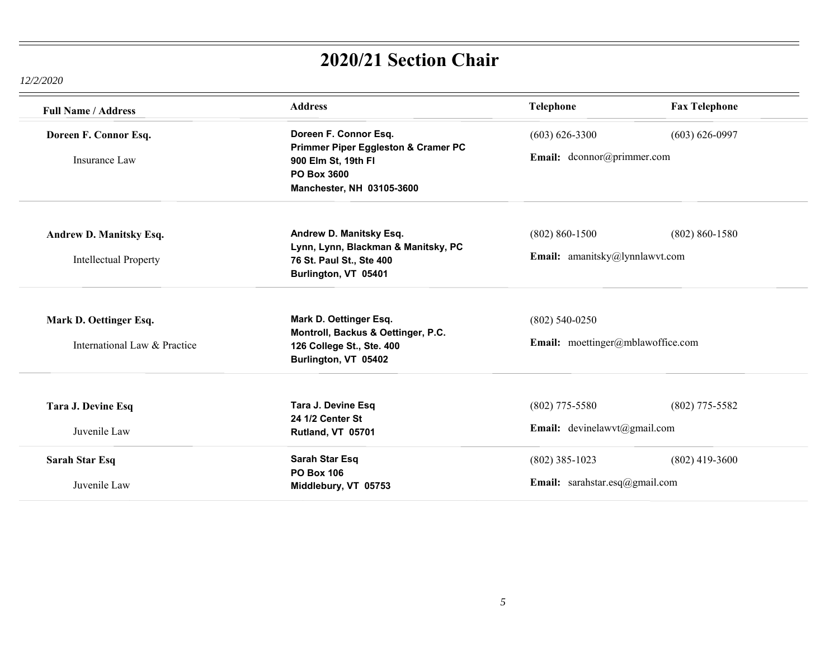| <b>Full Name / Address</b>   | <b>Address</b>                                                                                                | <b>Telephone</b>                  | <b>Fax Telephone</b> |
|------------------------------|---------------------------------------------------------------------------------------------------------------|-----------------------------------|----------------------|
| Doreen F. Connor Esq.        | Doreen F. Connor Esq.                                                                                         | $(603) 626 - 3300$                | $(603) 626 - 0997$   |
| Insurance Law                | Primmer Piper Eggleston & Cramer PC<br>900 Elm St, 19th FI<br><b>PO Box 3600</b><br>Manchester, NH 03105-3600 | Email: dconnor@primmer.com        |                      |
| Andrew D. Manitsky Esq.      | Andrew D. Manitsky Esq.<br>Lynn, Lynn, Blackman & Manitsky, PC                                                | $(802) 860 - 1500$                | $(802) 860 - 1580$   |
| <b>Intellectual Property</b> | 76 St. Paul St., Ste 400<br>Burlington, VT 05401                                                              | Email: amanitsky@lynnlawvt.com    |                      |
| Mark D. Oettinger Esq.       | Mark D. Oettinger Esq.                                                                                        | $(802)$ 540-0250                  |                      |
| International Law & Practice | Montroll, Backus & Oettinger, P.C.<br>126 College St., Ste. 400<br>Burlington, VT 05402                       | Email: moettinger@mblawoffice.com |                      |
| Tara J. Devine Esq           | Tara J. Devine Esq                                                                                            | $(802)$ 775-5580                  | $(802)$ 775-5582     |
| Juvenile Law                 | 24 1/2 Center St<br>Rutland, VT 05701                                                                         | Email: devinelawvt@gmail.com      |                      |
| Sarah Star Esq               | <b>Sarah Star Esq</b><br><b>PO Box 106</b>                                                                    | $(802)$ 385-1023                  | $(802)$ 419-3600     |
| Juvenile Law                 | Middlebury, VT 05753                                                                                          | Email: sarahstar.esq@gmail.com    |                      |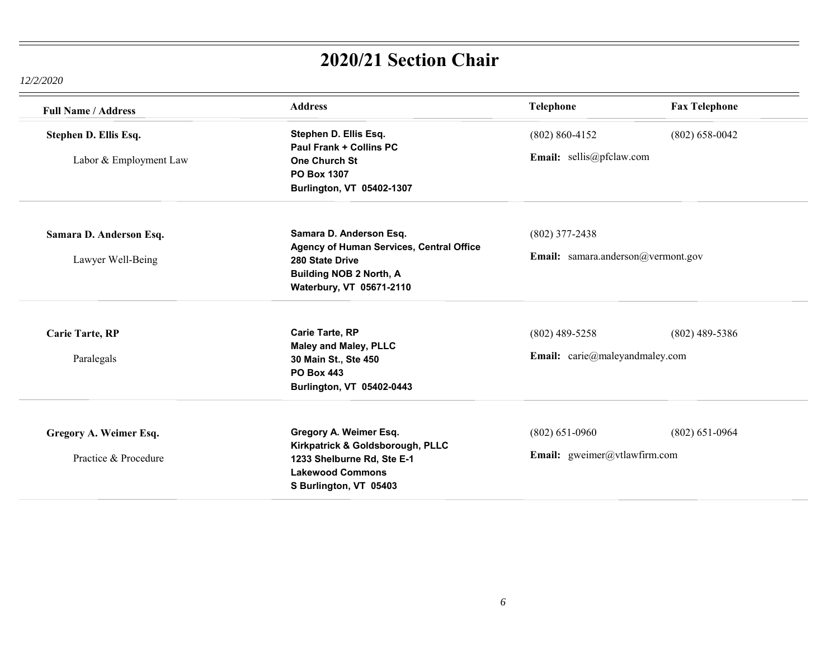| <b>Full Name / Address</b> | <b>Address</b>                           | Telephone                           | <b>Fax Telephone</b> |
|----------------------------|------------------------------------------|-------------------------------------|----------------------|
| Stephen D. Ellis Esq.      | Stephen D. Ellis Esq.                    | $(802) 860 - 4152$                  | $(802)$ 658-0042     |
|                            | <b>Paul Frank + Collins PC</b>           |                                     |                      |
| Labor & Employment Law     | <b>One Church St</b>                     | Email: sellis@pfclaw.com            |                      |
|                            | PO Box 1307                              |                                     |                      |
|                            | Burlington, VT 05402-1307                |                                     |                      |
|                            |                                          |                                     |                      |
| Samara D. Anderson Esq.    | Samara D. Anderson Esq.                  | $(802)$ 377-2438                    |                      |
|                            | Agency of Human Services, Central Office | Email: samara.anderson@vermont.gov  |                      |
| Lawyer Well-Being          | 280 State Drive                          |                                     |                      |
|                            | <b>Building NOB 2 North, A</b>           |                                     |                      |
|                            | Waterbury, VT 05671-2110                 |                                     |                      |
| <b>Carie Tarte, RP</b>     | <b>Carie Tarte, RP</b>                   | $(802)$ 489-5258                    | $(802)$ 489-5386     |
|                            | <b>Maley and Maley, PLLC</b>             |                                     |                      |
| Paralegals                 | 30 Main St., Ste 450                     | Email: carie@maleyandmaley.com      |                      |
|                            | <b>PO Box 443</b>                        |                                     |                      |
|                            | Burlington, VT 05402-0443                |                                     |                      |
|                            |                                          |                                     |                      |
| Gregory A. Weimer Esq.     | Gregory A. Weimer Esq.                   | $(802)$ 651-0960                    | $(802)$ 651-0964     |
|                            | Kirkpatrick & Goldsborough, PLLC         | <b>Email:</b> gweimer@vtlawfirm.com |                      |
| Practice & Procedure       | 1233 Shelburne Rd, Ste E-1               |                                     |                      |
|                            | <b>Lakewood Commons</b>                  |                                     |                      |
|                            | S Burlington, VT 05403                   |                                     |                      |
|                            |                                          |                                     |                      |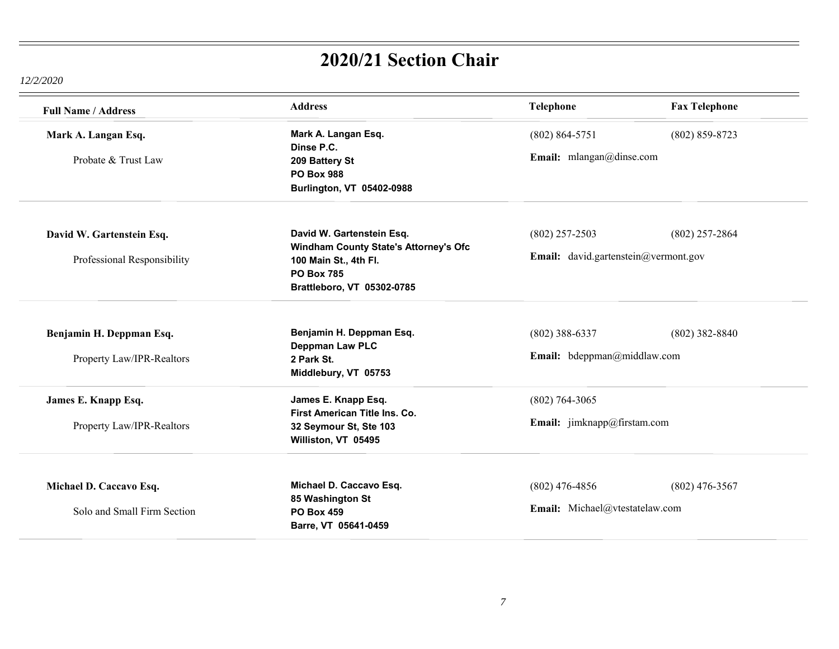| <b>Full Name / Address</b>  | <b>Address</b>                                                        | <b>Telephone</b>                     | <b>Fax Telephone</b> |
|-----------------------------|-----------------------------------------------------------------------|--------------------------------------|----------------------|
| Mark A. Langan Esq.         | Mark A. Langan Esq.<br>Dinse P.C.                                     | $(802) 864 - 5751$                   | $(802) 859 - 8723$   |
| Probate & Trust Law         | 209 Battery St<br><b>PO Box 988</b>                                   | Email: mlangan@dinse.com             |                      |
|                             | Burlington, VT 05402-0988                                             |                                      |                      |
|                             |                                                                       |                                      |                      |
| David W. Gartenstein Esq.   | David W. Gartenstein Esq.                                             | $(802)$ 257-2503                     | $(802)$ 257-2864     |
| Professional Responsibility | <b>Windham County State's Attorney's Ofc</b><br>100 Main St., 4th Fl. | Email: david.gartenstein@vermont.gov |                      |
|                             | <b>PO Box 785</b><br>Brattleboro, VT 05302-0785                       |                                      |                      |
|                             |                                                                       |                                      |                      |
| Benjamin H. Deppman Esq.    | Benjamin H. Deppman Esq.<br>Deppman Law PLC                           | $(802)$ 388-6337                     | $(802)$ 382-8840     |
| Property Law/IPR-Realtors   | 2 Park St.                                                            | Email: bdeppman@middlaw.com          |                      |
|                             | Middlebury, VT 05753                                                  |                                      |                      |
| James E. Knapp Esq.         | James E. Knapp Esq.<br>First American Title Ins. Co.                  | $(802)$ 764-3065                     |                      |
| Property Law/IPR-Realtors   | 32 Seymour St, Ste 103<br>Williston, VT 05495                         | Email: jimknapp@firstam.com          |                      |
|                             |                                                                       |                                      |                      |
| Michael D. Caccavo Esq.     | Michael D. Caccavo Esq.<br>85 Washington St                           | $(802)$ 476-4856                     | $(802)$ 476-3567     |
| Solo and Small Firm Section | <b>PO Box 459</b><br>Barre, VT 05641-0459                             | Email: Michael@vtestatelaw.com       |                      |
|                             |                                                                       |                                      |                      |